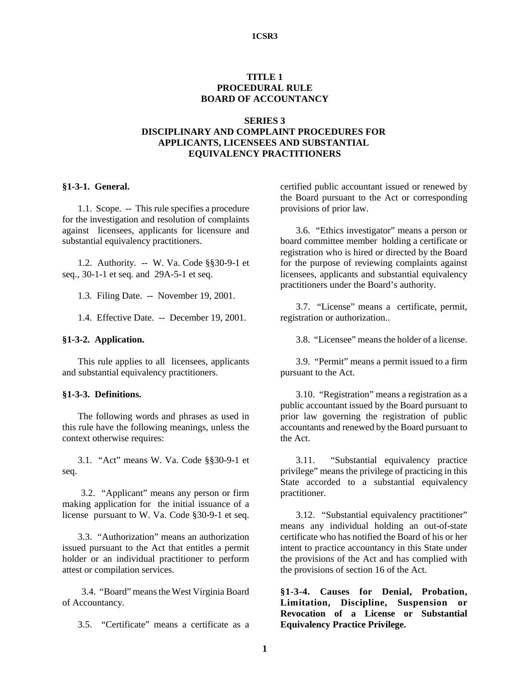### **1CSR3**

## **TITLE 1 PROCEDURAL RULE BOARD OF ACCOUNTANCY**

### **SERIES 3**

# **DISCIPLINARY AND COMPLAINT PROCEDURES FOR APPLICANTS, LICENSEES AND SUBSTANTIAL EQUIVALENCY PRACTITIONERS**

## **§1-3-1. General.**

1.1. Scope. -- This rule specifies a procedure for the investigation and resolution of complaints against licensees, applicants for licensure and substantial equivalency practitioners.

1.2. Authority. -- W. Va. Code §§30-9-1 et seq., 30-1-1 et seq. and 29A-5-1 et seq.

1.3. Filing Date. -- November 19, 2001.

1.4. Effective Date. -- December 19, 2001.

### **§1-3-2. Application.**

This rule applies to all licensees, applicants and substantial equivalency practitioners.

## **§1-3-3. Definitions.**

The following words and phrases as used in this rule have the following meanings, unless the context otherwise requires:

3.1. "Act" means W. Va. Code §§30-9-1 et seq.

 3.2. "Applicant" means any person or firm making application for the initial issuance of a license pursuant to W. Va. Code §30-9-1 et seq.

3.3. "Authorization" means an authorization issued pursuant to the Act that entitles a permit holder or an individual practitioner to perform attest or compilation services.

 3.4. "Board" means the West Virginia Board of Accountancy.

3.5. "Certificate" means a certificate as a

certified public accountant issued or renewed by the Board pursuant to the Act or corresponding provisions of prior law.

3.6. "Ethics investigator" means a person or board committee member holding a certificate or registration who is hired or directed by the Board for the purpose of reviewing complaints against licensees, applicants and substantial equivalency practitioners under the Board's authority.

3.7. "License" means a certificate, permit, registration or authorization..

3.8. "Licensee" means the holder of a license.

3.9. "Permit" means a permit issued to a firm pursuant to the Act.

3.10. "Registration" means a registration as a public accountant issued by the Board pursuant to prior law governing the registration of public accountants and renewed by the Board pursuant to the Act.

3.11. "Substantial equivalency practice privilege" means the privilege of practicing in this State accorded to a substantial equivalency practitioner.

3.12. "Substantial equivalency practitioner" means any individual holding an out-of-state certificate who has notified the Board of his or her intent to practice accountancy in this State under the provisions of the Act and has complied with the provisions of section 16 of the Act.

**§1-3-4. Causes for Denial, Probation, Limitation, Discipline, Suspension or Revocation of a License or Substantial Equivalency Practice Privilege.**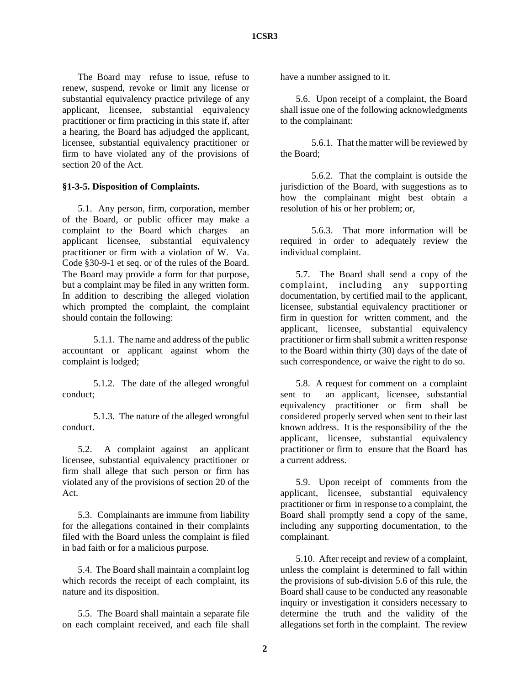The Board may refuse to issue, refuse to renew, suspend, revoke or limit any license or substantial equivalency practice privilege of any applicant, licensee, substantial equivalency practitioner or firm practicing in this state if, after a hearing, the Board has adjudged the applicant, licensee, substantial equivalency practitioner or firm to have violated any of the provisions of section 20 of the Act.

## **§1-3-5. Disposition of Complaints.**

5.1. Any person, firm, corporation, member of the Board, or public officer may make a complaint to the Board which charges an applicant licensee, substantial equivalency practitioner or firm with a violation of W. Va. Code §30-9-1 et seq. or of the rules of the Board. The Board may provide a form for that purpose, but a complaint may be filed in any written form. In addition to describing the alleged violation which prompted the complaint, the complaint should contain the following:

5.1.1. The name and address of the public accountant or applicant against whom the complaint is lodged;

5.1.2. The date of the alleged wrongful conduct;

5.1.3. The nature of the alleged wrongful conduct.

5.2. A complaint against an applicant licensee, substantial equivalency practitioner or firm shall allege that such person or firm has violated any of the provisions of section 20 of the Act.

5.3. Complainants are immune from liability for the allegations contained in their complaints filed with the Board unless the complaint is filed in bad faith or for a malicious purpose.

5.4. The Board shall maintain a complaint log which records the receipt of each complaint, its nature and its disposition.

5.5. The Board shall maintain a separate file on each complaint received, and each file shall have a number assigned to it.

5.6. Upon receipt of a complaint, the Board shall issue one of the following acknowledgments to the complainant:

5.6.1. That the matter will be reviewed by the Board;

5.6.2. That the complaint is outside the jurisdiction of the Board, with suggestions as to how the complainant might best obtain a resolution of his or her problem; or,

5.6.3. That more information will be required in order to adequately review the individual complaint.

5.7. The Board shall send a copy of the complaint, including any supporting documentation, by certified mail to the applicant, licensee, substantial equivalency practitioner or firm in question for written comment, and the applicant, licensee, substantial equivalency practitioner or firm shall submit a written response to the Board within thirty (30) days of the date of such correspondence, or waive the right to do so.

5.8. A request for comment on a complaint sent to an applicant, licensee, substantial equivalency practitioner or firm shall be considered properly served when sent to their last known address. It is the responsibility of the the applicant, licensee, substantial equivalency practitioner or firm to ensure that the Board has a current address.

5.9. Upon receipt of comments from the applicant, licensee, substantial equivalency practitioner or firm in response to a complaint, the Board shall promptly send a copy of the same, including any supporting documentation, to the complainant.

5.10. After receipt and review of a complaint, unless the complaint is determined to fall within the provisions of sub-division 5.6 of this rule, the Board shall cause to be conducted any reasonable inquiry or investigation it considers necessary to determine the truth and the validity of the allegations set forth in the complaint. The review